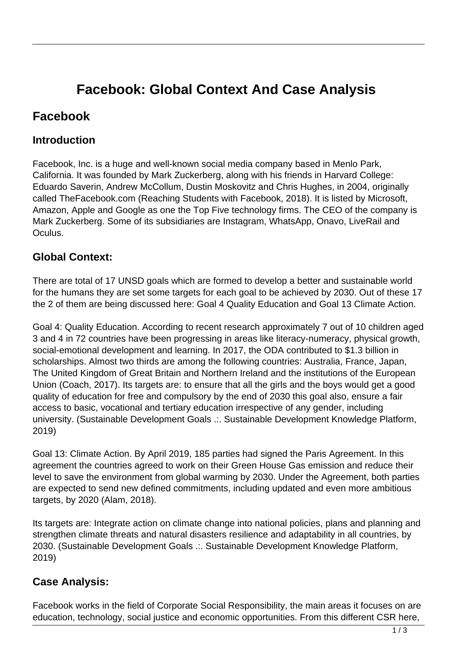# **Facebook: Global Context And Case Analysis**

## **Facebook**

#### **Introduction**

Facebook, Inc. is a huge and well-known social media company based in Menlo Park, California. It was founded by Mark Zuckerberg, along with his friends in Harvard College: Eduardo Saverin, Andrew McCollum, Dustin Moskovitz and Chris Hughes, in 2004, originally called TheFacebook.com (Reaching Students with Facebook, 2018). It is listed by Microsoft, Amazon, Apple and Google as one the Top Five technology firms. The CEO of the company is Mark Zuckerberg. Some of its subsidiaries are Instagram, WhatsApp, Onavo, LiveRail and Oculus.

#### **Global Context:**

There are total of 17 UNSD goals which are formed to develop a better and sustainable world for the humans they are set some targets for each goal to be achieved by 2030. Out of these 17 the 2 of them are being discussed here: Goal 4 Quality Education and Goal 13 Climate Action.

Goal 4: Quality Education. According to recent research approximately 7 out of 10 children aged 3 and 4 in 72 countries have been progressing in areas like literacy-numeracy, physical growth, social-emotional development and learning. In 2017, the ODA contributed to \$1.3 billion in scholarships. Almost two thirds are among the following countries: Australia, France, Japan, The United Kingdom of Great Britain and Northern Ireland and the institutions of the European Union (Coach, 2017). Its targets are: to ensure that all the girls and the boys would get a good quality of education for free and compulsory by the end of 2030 this goal also, ensure a fair access to basic, vocational and tertiary education irrespective of any gender, including university. (Sustainable Development Goals .:. Sustainable Development Knowledge Platform, 2019)

Goal 13: Climate Action. By April 2019, 185 parties had signed the Paris Agreement. In this agreement the countries agreed to work on their Green House Gas emission and reduce their level to save the environment from global warming by 2030. Under the Agreement, both parties are expected to send new defined commitments, including updated and even more ambitious targets, by 2020 (Alam, 2018).

Its targets are: Integrate action on climate change into national policies, plans and planning and strengthen climate threats and natural disasters resilience and adaptability in all countries, by 2030. (Sustainable Development Goals .:. Sustainable Development Knowledge Platform, 2019)

#### **Case Analysis:**

Facebook works in the field of Corporate Social Responsibility, the main areas it focuses on are education, technology, social justice and economic opportunities. From this different CSR here,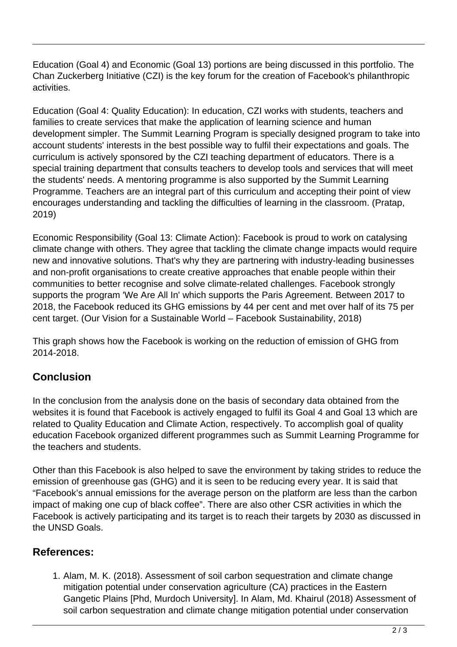Education (Goal 4) and Economic (Goal 13) portions are being discussed in this portfolio. The Chan Zuckerberg Initiative (CZI) is the key forum for the creation of Facebook's philanthropic activities.

Education (Goal 4: Quality Education): In education, CZI works with students, teachers and families to create services that make the application of learning science and human development simpler. The Summit Learning Program is specially designed program to take into account students' interests in the best possible way to fulfil their expectations and goals. The curriculum is actively sponsored by the CZI teaching department of educators. There is a special training department that consults teachers to develop tools and services that will meet the students' needs. A mentoring programme is also supported by the Summit Learning Programme. Teachers are an integral part of this curriculum and accepting their point of view encourages understanding and tackling the difficulties of learning in the classroom. (Pratap, 2019)

Economic Responsibility (Goal 13: Climate Action): Facebook is proud to work on catalysing climate change with others. They agree that tackling the climate change impacts would require new and innovative solutions. That's why they are partnering with industry-leading businesses and non-profit organisations to create creative approaches that enable people within their communities to better recognise and solve climate-related challenges. Facebook strongly supports the program 'We Are All In' which supports the Paris Agreement. Between 2017 to 2018, the Facebook reduced its GHG emissions by 44 per cent and met over half of its 75 per cent target. (Our Vision for a Sustainable World – Facebook Sustainability, 2018)

This graph shows how the Facebook is working on the reduction of emission of GHG from 2014-2018.

### **Conclusion**

In the conclusion from the analysis done on the basis of secondary data obtained from the websites it is found that Facebook is actively engaged to fulfil its Goal 4 and Goal 13 which are related to Quality Education and Climate Action, respectively. To accomplish goal of quality education Facebook organized different programmes such as Summit Learning Programme for the teachers and students.

Other than this Facebook is also helped to save the environment by taking strides to reduce the emission of greenhouse gas (GHG) and it is seen to be reducing every year. It is said that "Facebook's annual emissions for the average person on the platform are less than the carbon impact of making one cup of black coffee". There are also other CSR activities in which the Facebook is actively participating and its target is to reach their targets by 2030 as discussed in the UNSD Goals.

#### **References:**

1. Alam, M. K. (2018). Assessment of soil carbon sequestration and climate change mitigation potential under conservation agriculture (CA) practices in the Eastern Gangetic Plains [Phd, Murdoch University]. In Alam, Md. Khairul (2018) Assessment of soil carbon sequestration and climate change mitigation potential under conservation